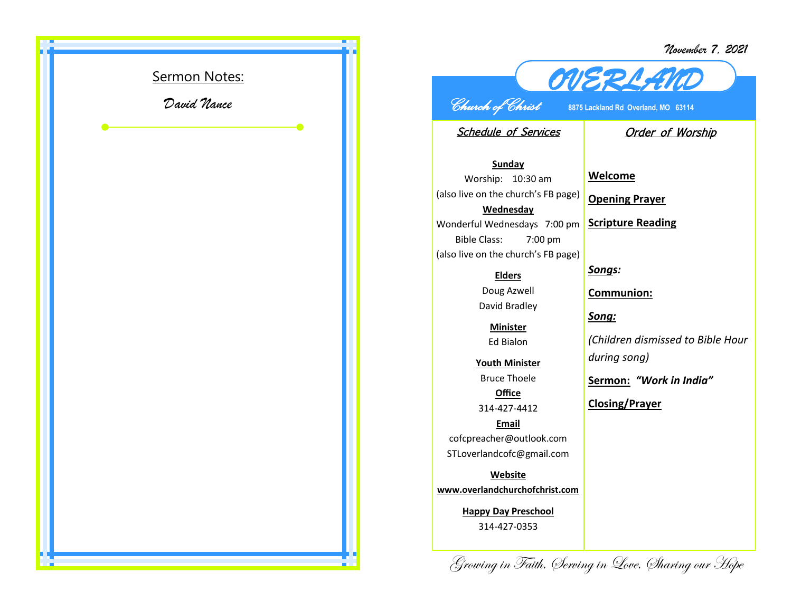*November 7, 2021*



## *OVERLAND Church of Christ* **8875 Lackland Rd Overland, MO 63114**

Schedule of Services

## Order of Worship

**Sunday** Worship: 10:30 am (also live on the church's FB page) **Wednesday** Wonderful Wednesdays 7:00 pm Bible Class: 7:00 pm (also live on the church's FB page)

**Elders**

Doug Azwell David Bradley

> **Minister** Ed Bialon

**Youth Minister** Bruce Thoele **Office**

314 -427 -4412

**Email** cofcpreacher@outlook.com STLoverlandcofc@gmail.com

**Website www.overlandchurchofchrist.com**

> **Happy Day Preschool** 314 -427 -0353

**Welcome**

**Opening Prayer**

**Scripture Reading**

*Songs:*

**Communion:**

*Song:*

*(Children dismissed to Bible Hour during song)*

**Sermon:** *"Work in India"*

**Closing/Prayer**

Growing in Faith, Serving in Love, Sharing our Hope